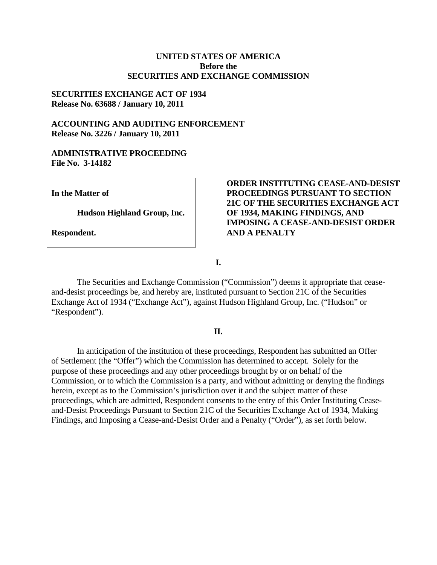## **UNITED STATES OF AMERICA Before the SECURITIES AND EXCHANGE COMMISSION**

# **SECURITIES EXCHANGE ACT OF 1934 Release No. 63688 / January 10, 2011**

# **ACCOUNTING AND AUDITING ENFORCEMENT Release No. 3226 / January 10, 2011**

## **ADMINISTRATIVE PROCEEDING File No. 3-14182**

**In the Matter of** 

**Hudson Highland Group, Inc.** 

**Respondent.** 

## **ORDER INSTITUTING CEASE-AND-DESIST PROCEEDINGS PURSUANT TO SECTION 21C OF THE SECURITIES EXCHANGE ACT OF 1934, MAKING FINDINGS, AND IMPOSING A CEASE-AND-DESIST ORDER AND A PENALTY**

**I.** 

The Securities and Exchange Commission ("Commission") deems it appropriate that ceaseand-desist proceedings be, and hereby are, instituted pursuant to Section 21C of the Securities Exchange Act of 1934 ("Exchange Act"), against Hudson Highland Group, Inc. ("Hudson" or "Respondent").

## **II.**

In anticipation of the institution of these proceedings, Respondent has submitted an Offer of Settlement (the "Offer") which the Commission has determined to accept. Solely for the purpose of these proceedings and any other proceedings brought by or on behalf of the Commission, or to which the Commission is a party, and without admitting or denying the findings herein, except as to the Commission's jurisdiction over it and the subject matter of these proceedings, which are admitted, Respondent consents to the entry of this Order Instituting Ceaseand-Desist Proceedings Pursuant to Section 21C of the Securities Exchange Act of 1934, Making Findings, and Imposing a Cease-and-Desist Order and a Penalty ("Order"), as set forth below.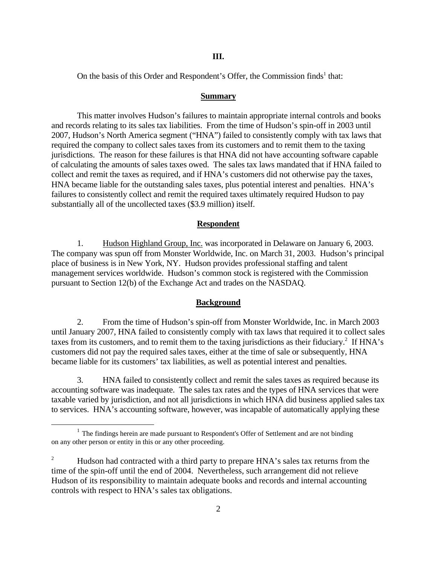#### **III.**

On the basis of this Order and Respondent's Offer, the Commission finds<sup>1</sup> that:

#### **Summary**

This matter involves Hudson's failures to maintain appropriate internal controls and books and records relating to its sales tax liabilities. From the time of Hudson's spin-off in 2003 until 2007, Hudson's North America segment ("HNA") failed to consistently comply with tax laws that required the company to collect sales taxes from its customers and to remit them to the taxing jurisdictions. The reason for these failures is that HNA did not have accounting software capable of calculating the amounts of sales taxes owed. The sales tax laws mandated that if HNA failed to collect and remit the taxes as required, and if HNA's customers did not otherwise pay the taxes, HNA became liable for the outstanding sales taxes, plus potential interest and penalties. HNA's failures to consistently collect and remit the required taxes ultimately required Hudson to pay substantially all of the uncollected taxes (\$3.9 million) itself.

#### **Respondent**

1. Hudson Highland Group, Inc. was incorporated in Delaware on January 6, 2003. The company was spun off from Monster Worldwide, Inc. on March 31, 2003. Hudson's principal place of business is in New York, NY. Hudson provides professional staffing and talent management services worldwide. Hudson's common stock is registered with the Commission pursuant to Section 12(b) of the Exchange Act and trades on the NASDAQ.

#### **Background**

2. From the time of Hudson's spin-off from Monster Worldwide, Inc. in March 2003 until January 2007, HNA failed to consistently comply with tax laws that required it to collect sales taxes from its customers, and to remit them to the taxing jurisdictions as their fiduciary.<sup>2</sup> If HNA's customers did not pay the required sales taxes, either at the time of sale or subsequently, HNA became liable for its customers' tax liabilities, as well as potential interest and penalties.

3. HNA failed to consistently collect and remit the sales taxes as required because its accounting software was inadequate. The sales tax rates and the types of HNA services that were taxable varied by jurisdiction, and not all jurisdictions in which HNA did business applied sales tax to services. HNA's accounting software, however, was incapable of automatically applying these

 $\overline{a}$ 

 on any other person or entity in this or any other proceeding.  $1$  The findings herein are made pursuant to Respondent's Offer of Settlement and are not binding

 2 Hudson had contracted with a third party to prepare HNA's sales tax returns from the time of the spin-off until the end of 2004. Nevertheless, such arrangement did not relieve Hudson of its responsibility to maintain adequate books and records and internal accounting controls with respect to HNA's sales tax obligations.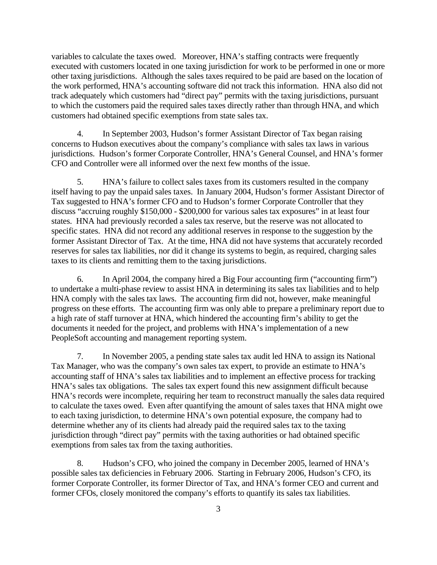variables to calculate the taxes owed. Moreover, HNA's staffing contracts were frequently executed with customers located in one taxing jurisdiction for work to be performed in one or more other taxing jurisdictions. Although the sales taxes required to be paid are based on the location of the work performed, HNA's accounting software did not track this information. HNA also did not track adequately which customers had "direct pay" permits with the taxing jurisdictions, pursuant to which the customers paid the required sales taxes directly rather than through HNA, and which customers had obtained specific exemptions from state sales tax.

4. In September 2003, Hudson's former Assistant Director of Tax began raising concerns to Hudson executives about the company's compliance with sales tax laws in various jurisdictions. Hudson's former Corporate Controller, HNA's General Counsel, and HNA's former CFO and Controller were all informed over the next few months of the issue.

5. HNA's failure to collect sales taxes from its customers resulted in the company itself having to pay the unpaid sales taxes. In January 2004, Hudson's former Assistant Director of Tax suggested to HNA's former CFO and to Hudson's former Corporate Controller that they discuss "accruing roughly \$150,000 - \$200,000 for various sales tax exposures" in at least four states. HNA had previously recorded a sales tax reserve, but the reserve was not allocated to specific states. HNA did not record any additional reserves in response to the suggestion by the former Assistant Director of Tax. At the time, HNA did not have systems that accurately recorded reserves for sales tax liabilities, nor did it change its systems to begin, as required, charging sales taxes to its clients and remitting them to the taxing jurisdictions.

6. In April 2004, the company hired a Big Four accounting firm ("accounting firm") to undertake a multi-phase review to assist HNA in determining its sales tax liabilities and to help HNA comply with the sales tax laws. The accounting firm did not, however, make meaningful progress on these efforts. The accounting firm was only able to prepare a preliminary report due to a high rate of staff turnover at HNA, which hindered the accounting firm's ability to get the documents it needed for the project, and problems with HNA's implementation of a new PeopleSoft accounting and management reporting system.

7. In November 2005, a pending state sales tax audit led HNA to assign its National Tax Manager, who was the company's own sales tax expert, to provide an estimate to HNA's accounting staff of HNA's sales tax liabilities and to implement an effective process for tracking HNA's sales tax obligations. The sales tax expert found this new assignment difficult because HNA's records were incomplete, requiring her team to reconstruct manually the sales data required to calculate the taxes owed. Even after quantifying the amount of sales taxes that HNA might owe to each taxing jurisdiction, to determine HNA's own potential exposure, the company had to determine whether any of its clients had already paid the required sales tax to the taxing jurisdiction through "direct pay" permits with the taxing authorities or had obtained specific exemptions from sales tax from the taxing authorities.

8. Hudson's CFO, who joined the company in December 2005, learned of HNA's possible sales tax deficiencies in February 2006. Starting in February 2006, Hudson's CFO, its former Corporate Controller, its former Director of Tax, and HNA's former CEO and current and former CFOs, closely monitored the company's efforts to quantify its sales tax liabilities.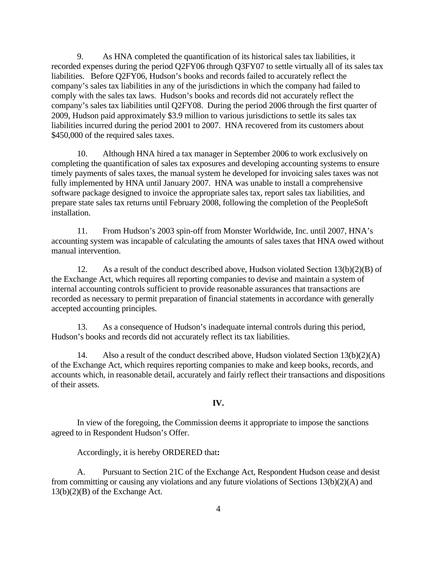9. As HNA completed the quantification of its historical sales tax liabilities, it recorded expenses during the period Q2FY06 through Q3FY07 to settle virtually all of its sales tax liabilities. Before Q2FY06, Hudson's books and records failed to accurately reflect the company's sales tax liabilities in any of the jurisdictions in which the company had failed to comply with the sales tax laws. Hudson's books and records did not accurately reflect the company's sales tax liabilities until Q2FY08. During the period 2006 through the first quarter of 2009, Hudson paid approximately \$3.9 million to various jurisdictions to settle its sales tax liabilities incurred during the period 2001 to 2007. HNA recovered from its customers about \$450,000 of the required sales taxes.

10. Although HNA hired a tax manager in September 2006 to work exclusively on completing the quantification of sales tax exposures and developing accounting systems to ensure timely payments of sales taxes, the manual system he developed for invoicing sales taxes was not fully implemented by HNA until January 2007. HNA was unable to install a comprehensive software package designed to invoice the appropriate sales tax, report sales tax liabilities, and prepare state sales tax returns until February 2008, following the completion of the PeopleSoft installation.

11. From Hudson's 2003 spin-off from Monster Worldwide, Inc. until 2007, HNA's accounting system was incapable of calculating the amounts of sales taxes that HNA owed without manual intervention.

12. As a result of the conduct described above, Hudson violated Section 13(b)(2)(B) of the Exchange Act, which requires all reporting companies to devise and maintain a system of internal accounting controls sufficient to provide reasonable assurances that transactions are recorded as necessary to permit preparation of financial statements in accordance with generally accepted accounting principles.

13. As a consequence of Hudson's inadequate internal controls during this period, Hudson's books and records did not accurately reflect its tax liabilities.

14. Also a result of the conduct described above, Hudson violated Section  $13(b)(2)(A)$ of the Exchange Act, which requires reporting companies to make and keep books, records, and accounts which, in reasonable detail, accurately and fairly reflect their transactions and dispositions of their assets.

### **IV.**

In view of the foregoing, the Commission deems it appropriate to impose the sanctions agreed to in Respondent Hudson's Offer.

Accordingly, it is hereby ORDERED that**:** 

 $13(b)(2)(B)$  of the Exchange Act. 4 A. Pursuant to Section 21C of the Exchange Act, Respondent Hudson cease and desist from committing or causing any violations and any future violations of Sections 13(b)(2)(A) and